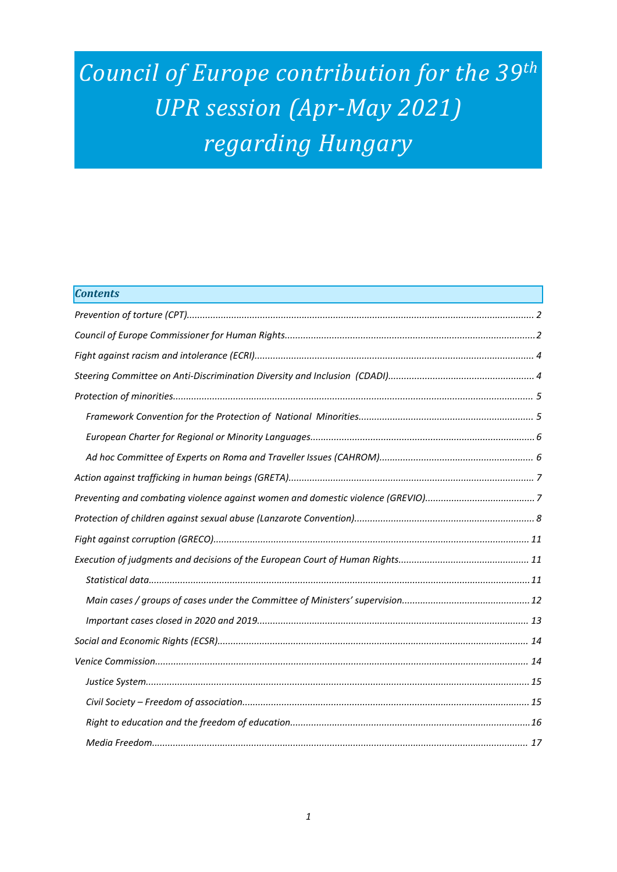# *Council of Europe contribution for the <sup>39</sup>th UPR session (Apr-May 2021) regarding Hungary*

| <b>Contents</b> |  |
|-----------------|--|
|                 |  |
|                 |  |
|                 |  |
|                 |  |
|                 |  |
|                 |  |
|                 |  |
|                 |  |
|                 |  |
|                 |  |
|                 |  |
|                 |  |
|                 |  |
|                 |  |
|                 |  |
|                 |  |
|                 |  |
|                 |  |
|                 |  |
|                 |  |
|                 |  |
|                 |  |
|                 |  |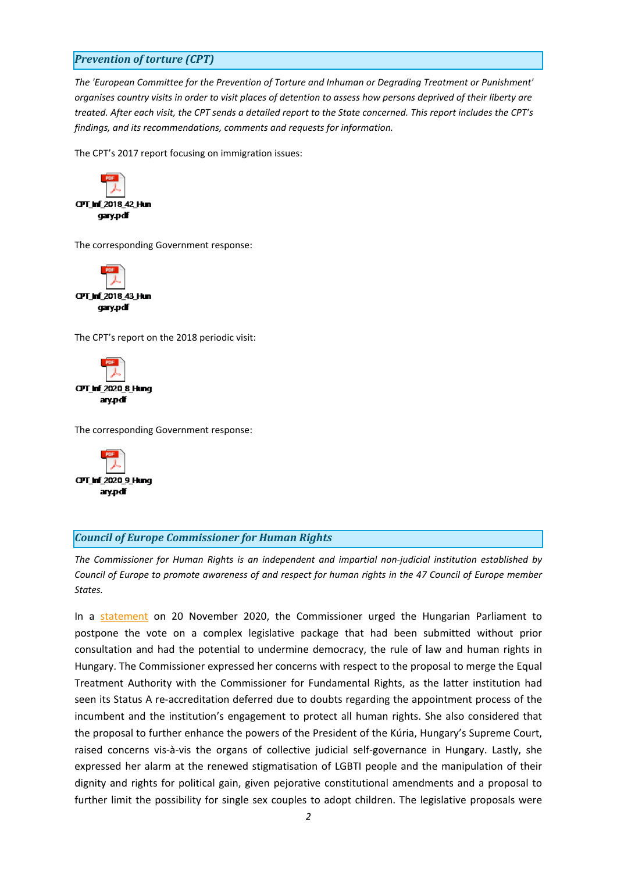# <span id="page-1-0"></span>*Prevention of torture (CPT)*

*The 'European Committee for the Prevention of Torture and Inhuman or Degrading Treatment or Punishment'* organises country visits in order to visit places of detention to assess how persons deprived of their liberty are treated. After each visit, the CPT sends a detailed report to the State concerned. This report includes the CPT's *findings, and its recommendations, comments and requests for information.*

The CPT'<sup>s</sup> 2017 report focusing on immigration issues:



The corresponding Government response:



The CPT'<sup>s</sup> report on the 2018 periodic visit:



The corresponding Government response:



#### *Council of Europe Commissioner for Human Rights*

*The Commissioner for Human Rights is an independent and impartial non-judicial institution established by* Council of Europe to promote awareness of and respect for human rights in the 47 Council of Europe member *States.*

In <sup>a</sup> [statement](https://www.coe.int/en/web/commissioner/-/commissioner-urges-hungary-s-parliament-to-postpone-the-vote-on-draft-bills-that-if-adopted-will-have-far-reaching-adverse-effects-on-human-rights-in-) on 20 November 2020, the Commissioner urged the Hungarian Parliament to postpone the vote on <sup>a</sup> complex legislative package that had been submitted without prior consultation and had the potential to undermine democracy, the rule of law and human rights in Hungary. The Commissioner expressed her concerns with respect to the proposal to merge the Equal Treatment Authority with the Commissioner for Fundamental Rights, as the latter institution had seen its Status A re-accreditation deferred due to doubts regarding the appointment process of the incumbent and the institution'<sup>s</sup> engagement to protect all human rights. She also considered that the proposal to further enhance the powers of the President of the Kúria, Hungary'<sup>s</sup> Supreme Court, raised concerns vis-à-vis the organs of collective judicial self-governance in Hungary. Lastly, she expressed her alarm at the renewed stigmatisation of LGBTI people and the manipulation of their dignity and rights for political gain, given pejorative constitutional amendments and <sup>a</sup> proposal to further limit the possibility for single sex couples to adopt children. The legislative proposals were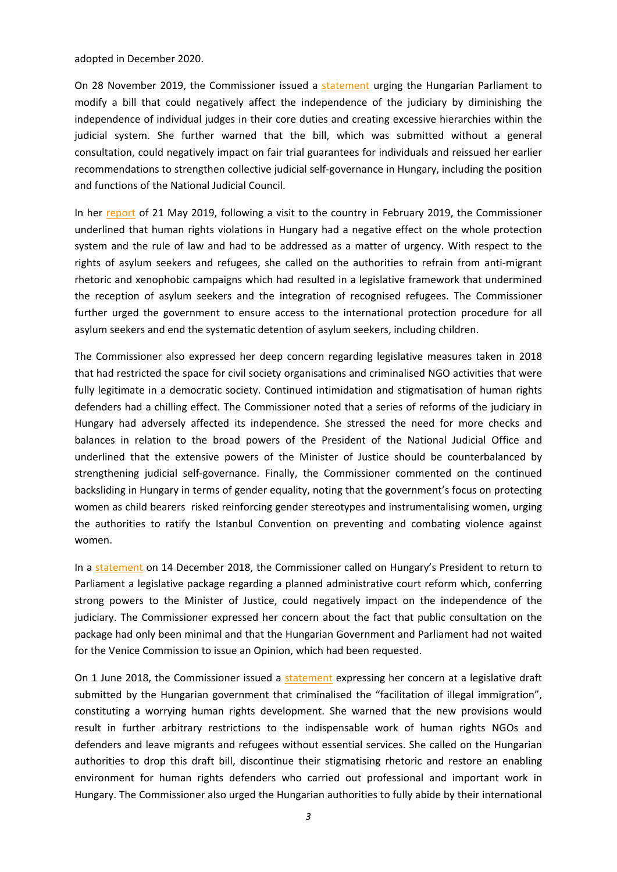adopted in December 2020.

On 28 November 2019, the Commissioner issued a [statement](https://www.coe.int/en/web/commissioner/-/the-commissioner-urges-the-hungarian-parliament-to-modify-a-bill-affecting-the-independence-of-the-judiciary) urging the Hungarian Parliament to modify <sup>a</sup> bill that could negatively affect the independence of the judiciary by diminishing the independence of individual judges in their core duties and creating excessive hierarchies within the judicial system. She further warned that the bill, which was submitted without <sup>a</sup> general consultation, could negatively impact on fair trial guarantees for individuals and reissued her earlier recommendations to strengthen collective judicial self-governance in Hungary, including the position and functions of the National Judicial Council.

In her [report](https://www.coe.int/en/web/commissioner/-/hungary-should-address-interconnected-human-rights-issues-in-refugee-protection-civil-society-space-independence-of-the-judiciary-and-gender-equality) of 21 May 2019, following <sup>a</sup> visit to the country in February 2019, the Commissioner underlined that human rights violations in Hungary had <sup>a</sup> negative effect on the whole protection system and the rule of law and had to be addressed as <sup>a</sup> matter of urgency. With respect to the rights of asylum seekers and refugees, she called on the authorities to refrain from anti-migrant rhetoric and xenophobic campaigns which had resulted in <sup>a</sup> legislative framework that undermined the reception of asylum seekers and the integration of recognised refugees. The Commissioner further urged the government to ensure access to the international protection procedure for all asylum seekers and end the systematic detention of asylum seekers, including children.

The Commissioner also expressed her deep concern regarding legislative measures taken in 2018 that had restricted the space for civil society organisations and criminalised NGO activities that were fully legitimate in <sup>a</sup> democratic society. Continued intimidation and stigmatisation of human rights defenders had <sup>a</sup> chilling effect. The Commissioner noted that <sup>a</sup> series of reforms of the judiciary in Hungary had adversely affected its independence. She stressed the need for more checks and balances in relation to the broad powers of the President of the National Judicial Office and underlined that the extensive powers of the Minister of Justice should be counterbalanced by strengthening judicial self-governance. Finally, the Commissioner commented on the continued backsliding in Hungary in terms of gender equality, noting that the government'<sup>s</sup> focus on protecting women as child bearers risked reinforcing gender stereotypes and instrumentalising women, urging the authorities to ratify the Istanbul Convention on preventing and combating violence against women.

In a [statement](https://www.coe.int/en/web/commissioner/-/commissioner-calls-on-hungary-s-president-to-return-to-the-parliament-the-legislative-package-on-administrative-courts) on 14 December 2018, the Commissioner called on Hungary's President to return to Parliament <sup>a</sup> legislative package regarding <sup>a</sup> planned administrative court reform which, conferring strong powers to the Minister of Justice, could negatively impact on the independence of the judiciary. The Commissioner expressed her concern about the fact that public consultation on the package had only been minimal and that the Hungarian Government and Parliament had not waited for the Venice Commission to issue an Opinion, which had been requested.

On 1 June 2018, the Commissioner issued a [statement](https://www.coe.int/en/web/commissioner/-/hungary-commissioner-concerned-at-further-planned-barriers-to-the-work-of-ngos-assisting-migrants) expressing her concern at a legislative draft submitted by the Hungarian government that criminalised the "facilitation of illegal immigration", constituting <sup>a</sup> worrying human rights development. She warned that the new provisions would result in further arbitrary restrictions to the indispensable work of human rights NGOs and defenders and leave migrants and refugees without essential services. She called on the Hungarian authorities to drop this draft bill, discontinue their stigmatising rhetoric and restore an enabling environment for human rights defenders who carried out professional and important work in Hungary. The Commissioner also urged the Hungarian authorities to fully abide by their international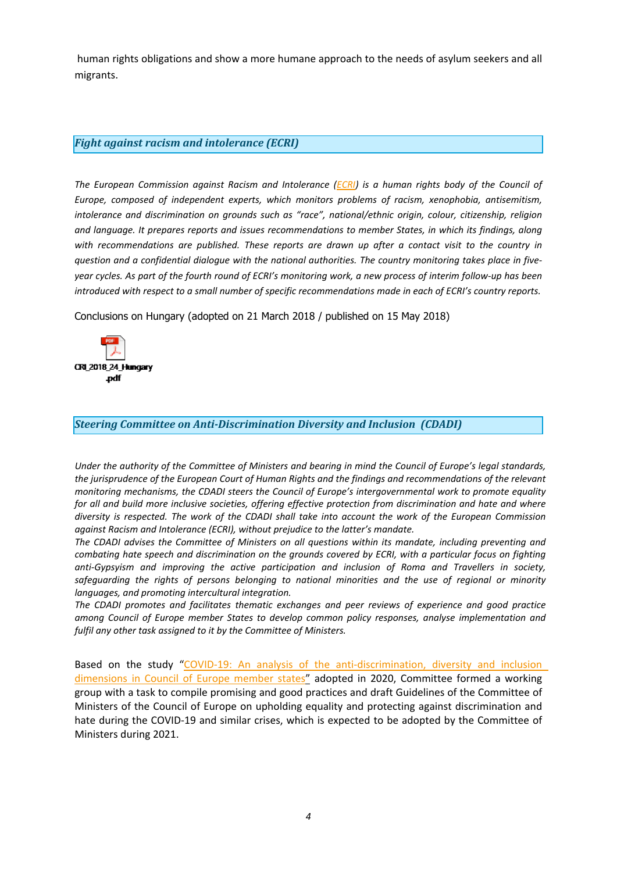<span id="page-3-0"></span>human rights obligations and show <sup>a</sup> more humane approach to the needs of asylum seekers and all migrants.

# *Fight against racism and intolerance (ECRI)*

*The European Commission against Racism and Intolerance [\(ECRI\)](http://www.coe.int/t/dghl/monitoring/ecri/default_en.asp) is <sup>a</sup> human rights body of the Council of Europe, composed of independent experts, which monitors problems of racism, xenophobia, antisemitism, intolerance and discrimination on grounds such as "race", national/ethnic origin, colour, citizenship, religion and language. It prepares reports and issues recommendations to member States, in which its findings, along with recommendations are published. These reports are drawn up after <sup>a</sup> contact visit to the country in question and <sup>a</sup> confidential dialogue with the national authorities. The country monitoring takes place in five*year cycles. As part of the fourth round of ECRI's monitoring work, a new process of interim follow-up has been introduced with respect to a small number of specific recommendations made in each of ECRI's country reports.

Conclusions on Hungary (adopted on 21 March 2018 / published on 15 May 2018)



*Steering Committee on Anti-Discrimination Diversity and Inclusion (CDADI)*

Under the authority of the Committee of Ministers and bearing in mind the Council of Europe's legal standards, the jurisprudence of the European Court of Human Rights and the findings and recommendations of the relevant *monitoring mechanisms, the CDADI steers the Council of Europe'<sup>s</sup> intergovernmental work to promote equality for all and build more inclusive societies, offering effective protection from discrimination and hate and where* diversity is respected. The work of the CDADI shall take into account the work of the European Commission *against Racism and Intolerance (ECRI), without prejudice to the latter'<sup>s</sup> mandate.*

*The CDADI advises the Committee of Ministers on all questions within its mandate, including preventing and* combating hate speech and discrimination on the grounds covered by ECRI, with a particular focus on fighting *anti-Gypsyism and improving the active participation and inclusion of Roma and Travellers in society, safeguarding the rights of persons belonging to national minorities and the use of regional or minority languages, and promoting intercultural integration.*

*The CDADI promotes and facilitates thematic exchanges and peer reviews of experience and good practice among Council of Europe member States to develop common policy responses, analyse implementation and fulfil any other task assigned to it by the Committee of Ministers.*

Based on the study "COVID-19: An analysis of the [anti-discrimination,](https://rm.coe.int/prems-126920-gbr-2530-cdadi-covid-19-a5-web/1680a08c96) diversity and inclusion [dimensions](https://rm.coe.int/prems-126920-gbr-2530-cdadi-covid-19-a5-web/1680a08c96) in Council of Europe member states" adopted in 2020, Committee formed <sup>a</sup> working group with <sup>a</sup> task to compile promising and good practices and draft Guidelines of the Committee of Ministers of the Council of Europe on upholding equality and protecting against discrimination and hate during the COVID-19 and similar crises, which is expected to be adopted by the Committee of Ministers during 2021.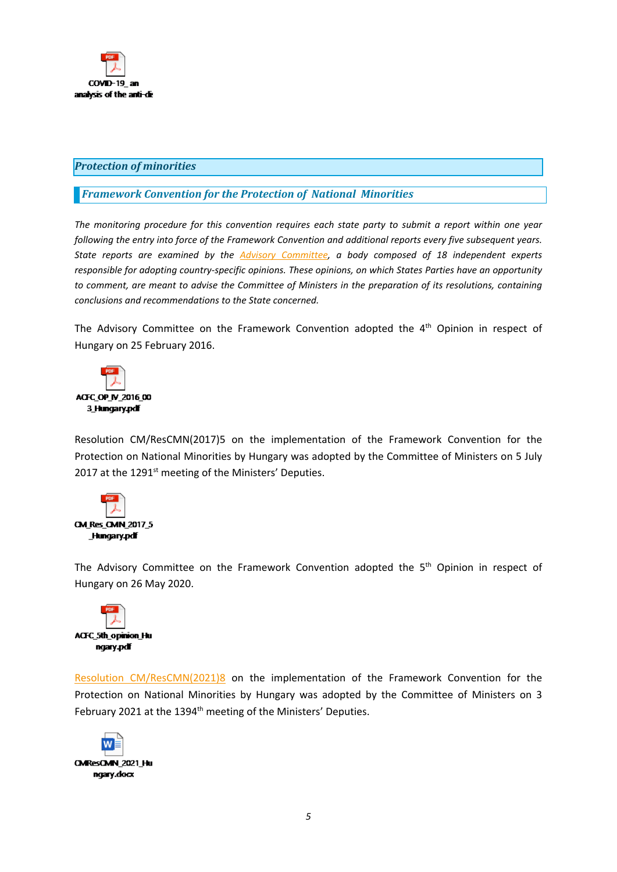<span id="page-4-0"></span>

# *Protection of minorities*

# *Framework Convention for the Protection of National Minorities*

*The monitoring procedure for this convention requires each state party to submit <sup>a</sup> report within one year following the entry into force of the Framework Convention and additional reports every five subsequent years. State reports are examined by the Advisory [Committee,](http://www.coe.int/en/web/minorities/monitoring) <sup>a</sup> body composed of 18 independent experts responsible for adopting country-specific opinions. These opinions, on which States Parties have an opportunity* to comment, are meant to advise the Committee of Ministers in the preparation of its resolutions, containing *conclusions and recommendations to the State concerned.*

The Advisory Committee on the Framework Convention adopted the 4<sup>th</sup> Opinion in respect of Hungary on 25 February 2016.



Resolution CM/ResCMN(2017)5 on the implementation of the Framework Convention for the Protection on National Minorities by Hungary was adopted by the Committee of Ministers on 5 July 2017 at the 1291<sup>st</sup> meeting of the Ministers' Deputies.



The Advisory Committee on the Framework Convention adopted the 5<sup>th</sup> Opinion in respect of Hungary on 26 May 2020.



Resolution [CM/ResCMN\(2021\)8](https://search.coe.int/cm/pages/result_details.aspx?ObjectId=0900001680a14110) on the implementation of the Framework Convention for the Protection on National Minorities by Hungary was adopted by the Committee of Ministers on 3 February 2021 at the 1394<sup>th</sup> meeting of the Ministers' Deputies.

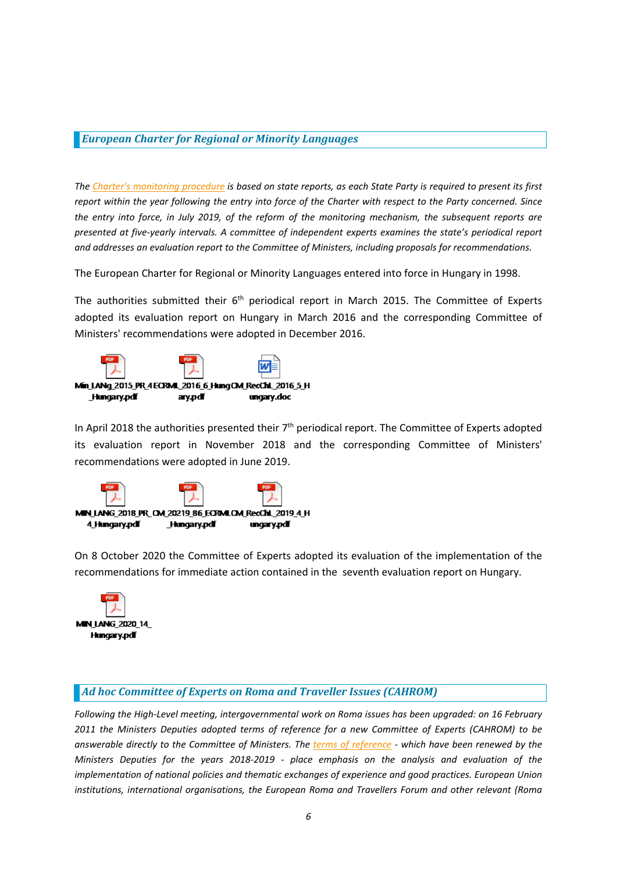## <span id="page-5-0"></span>*European Charter for Regional or Minority Languages*

The Charter's [monitoring](https://www.coe.int/en/web/european-charter-regional-or-minority-languages/reports-and-recommendations) procedure is based on state reports, as each State Party is required to present its first report within the year following the entry into force of the Charter with respect to the Party concerned. Since the entry into force, in July 2019, of the reform of the monitoring mechanism, the subsequent reports are *presented at five-yearly intervals. A committee of independent experts examines the state'<sup>s</sup> periodical report and addresses an evaluation report to the Committee of Ministers, including proposals for recommendations.*

The European Charter for Regional or Minority Languages entered into force in Hungary in 1998.

The authorities submitted their 6<sup>th</sup> periodical report in March 2015. The Committee of Experts adopted its evaluation report on Hungary in March 2016 and the corresponding Committee of Ministers' recommendations were adopted in December 2016.



In April 2018 the authorities presented their 7<sup>th</sup> periodical report. The Committee of Experts adopted its evaluation report in November 2018 and the corresponding Committee of Ministers' recommendations were adopted in June 2019.



On 8 October 2020 the Committee of Experts adopted its evaluation of the implementation of the recommendations for immediate action contained in the seventh evaluation report on Hungary.



# *Ad hoc Committee of Experts on Roma and Traveller Issues (CAHROM)*

*Following the High-Level meeting, intergovernmental work on Roma issues has been upgraded: on 16 February 2011 the Ministers Deputies adopted terms of reference for <sup>a</sup> new Committee of Experts (CAHROM) to be* answerable directly to the Committee of Ministers. The terms of [reference](http://rm.coe.int/cahrom-2017-28-en-final-terms-of-reference-2018-2019/168077dc8a) - which have been renewed by the *Ministers Deputies for the years 2018-2019 - place emphasis on the analysis and evaluation of the implementation of national policies and thematic exchanges of experience and good practices. European Union institutions, international organisations, the European Roma and Travellers Forum and other relevant (Roma*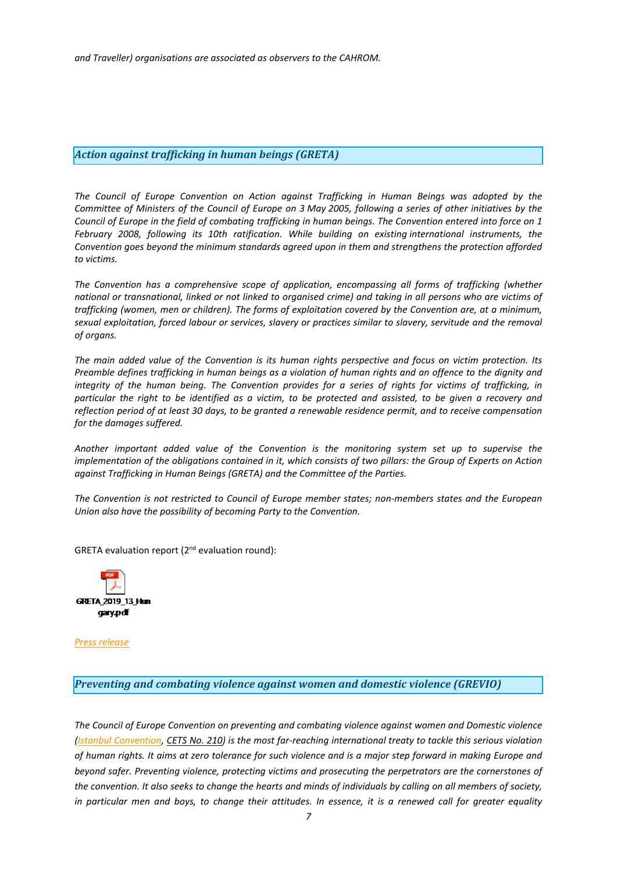# <span id="page-6-0"></span>*Action against trafficking in human beings (GRETA)*

*The Council of Europe Convention on Action against Trafficking in Human Beings was adopted by the* Committee of Ministers of the Council of Europe on 3 May 2005, following a series of other initiatives by the Council of Europe in the field of combating trafficking in human beings. The Convention entered into force on 1 *February 2008, following its 10th ratification. While building on existing international instruments, the Convention goes beyond the minimum standards agreed upon in them and strengthens the protection afforded to victims.*

*The Convention has <sup>a</sup> comprehensive scope of application, encompassing all forms of trafficking (whether* national or transnational, linked or not linked to organised crime) and taking in all persons who are victims of trafficking (women, men or children). The forms of exploitation covered by the Convention are, at a minimum, sexual exploitation, forced labour or services, slavery or practices similar to slavery, servitude and the removal *of organs.*

The main added value of the Convention is its human rights perspective and focus on victim protection. Its Preamble defines trafficking in human beings as a violation of human rights and an offence to the dignity and integrity of the human being. The Convention provides for a series of rights for victims of trafficking, in particular the right to be identified as a victim, to be protected and assisted, to be given a recovery and reflection period of at least 30 days, to be granted a renewable residence permit, and to receive compensation *for the damages suffered.*

*Another important added value of the Convention is the monitoring system set up to supervise the* implementation of the obligations contained in it, which consists of two pillars: the Group of Experts on Action *against Trafficking in Human Beings (GRETA) and the Committee of the Parties.*

*The Convention is not restricted to Council of Europe member states; non-members states and the European Union also have the possibility of becoming Party to the Convention.*

GRETA evaluation report (2<sup>nd</sup> evaluation round):



*Press [release](https://www.coe.int/en/web/anti-human-trafficking/news/-/asset_publisher/fX6ZWufj34JY/content/greta-publishes-second-report-on-hunga-1?inheritRedirect=false&redirect=https%3A%2F%2Fwww.coe.int%2Fen%2Fweb%2Fanti-human-trafficking%2Fnews%3Fp_p_id%3D101_INSTANCE_fX6ZWufj34JY%26p_p_lifecycle%3D0%26p_p_state%3Dnormal%26p_p_mode%3Dview%26p_p_col_id%3Dcolumn-4%26p_p_col_count%3D1%26_101_INSTANCE_fX6ZWufj34JY_cur%3D5%26_101_INSTANCE_fX6ZWufj34JY_keywords%3D%26_101_INSTANCE_fX6ZWufj34JY_advancedSearch%3Dfalse%26_101_INSTANCE_fX6ZWufj34JY_delta%3D10%26p_r_p_564233524_resetCur%3Dfalse%26_101_INSTANCE_fX6ZWufj34JY_andOperator%3Dtrue)*

*Preventing and combating violence against women and domestic violence (GREVIO)*

*The Council of Europe Convention on preventing and combating violence against women and Domestic violence* (Istanbul [Convention,](https://www.coe.int/en/web/conventions/full-list/-/conventions/treaty/210) CETS No. [210\)](https://www.coe.int/en/web/conventions/full-list/-/conventions/treaty/210) is the most far-reaching international treaty to tackle this serious violation of human rights. It aims at zero tolerance for such violence and is a major step forward in making Europe and *beyond safer. Preventing violence, protecting victims and prosecuting the perpetrators are the cornerstones of* the convention. It also seeks to change the hearts and minds of individuals by calling on all members of society, in particular men and boys, to change their attitudes. In essence, it is a renewed call for greater equality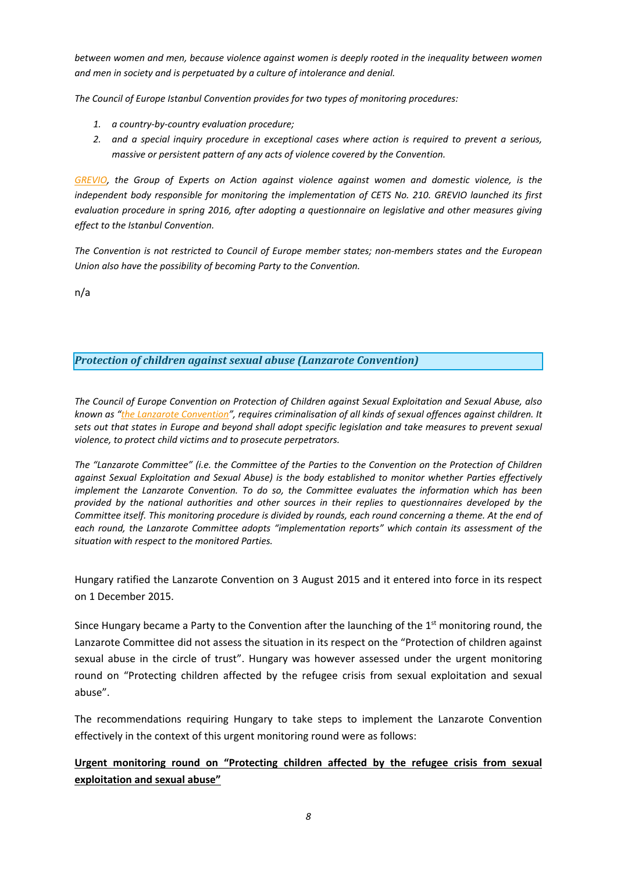<span id="page-7-0"></span>*between women and men, because violence against women is deeply rooted in the inequality between women and men in society and is perpetuated by <sup>a</sup> culture of intolerance and denial.*

*The Council of Europe Istanbul Convention provides for two types of monitoring procedures:*

- *1. <sup>a</sup> country-by-country evaluation procedure;*
- *2. and <sup>a</sup> special inquiry procedure in exceptional cases where action is required to prevent <sup>a</sup> serious, massive or persistent pattern of any acts of violence covered by the Convention.*

*[GREVIO,](https://www.coe.int/en/web/istanbul-convention/grevio) the Group of Experts on Action against violence against women and domestic violence, is the independent body responsible for monitoring the implementation of CETS No. 210. GREVIO launched its first evaluation procedure in spring 2016, after adopting <sup>a</sup> questionnaire on legislative and other measures giving effect to the Istanbul Convention.*

*The Convention is not restricted to Council of Europe member states; non-members states and the European Union also have the possibility of becoming Party to the Convention.*

n/a

# *Protection of children against sexual abuse (Lanzarote Convention)*

*The Council of Europe Convention on Protection of Children against Sexual Exploitation and Sexual Abuse, also* known as "the Lanzarote [Convention](https://www.coe.int/en/web/children/lanzarote-convention)", requires criminalisation of all kinds of sexual offences against children. It sets out that states in Europe and beyond shall adopt specific legislation and take measures to prevent sexual *violence, to protect child victims and to prosecute perpetrators.*

The "Lanzarote Committee" (i.e. the Committee of the Parties to the Convention on the Protection of Children *against Sexual Exploitation and Sexual Abuse) is the body established to monitor whether Parties effectively implement the Lanzarote Convention. To do so, the Committee evaluates the information which has been provided by the national authorities and other sources in their replies to questionnaires developed by the* Committee itself. This monitoring procedure is divided by rounds, each round concerning a theme. At the end of *each round, the Lanzarote Committee adopts "implementation reports" which contain its assessment of the situation with respect to the monitored Parties.*

Hungary ratified the Lanzarote Convention on 3 August 2015 and it entered into force in its respect on 1 December 2015.

Since Hungary became a Party to the Convention after the launching of the  $1<sup>st</sup>$  monitoring round, the Lanzarote Committee did not assess the situation in its respect on the "Protection of children against sexual abuse in the circle of trust". Hungary was however assessed under the urgent monitoring round on "Protecting children affected by the refugee crisis from sexual exploitation and sexual abuse".

The recommendations requiring Hungary to take steps to implement the Lanzarote Convention effectively in the context of this urgent monitoring round were as follows:

**Urgent monitoring round on "Protecting children affected by the refugee crisis from sexual exploitation and sexual abuse"**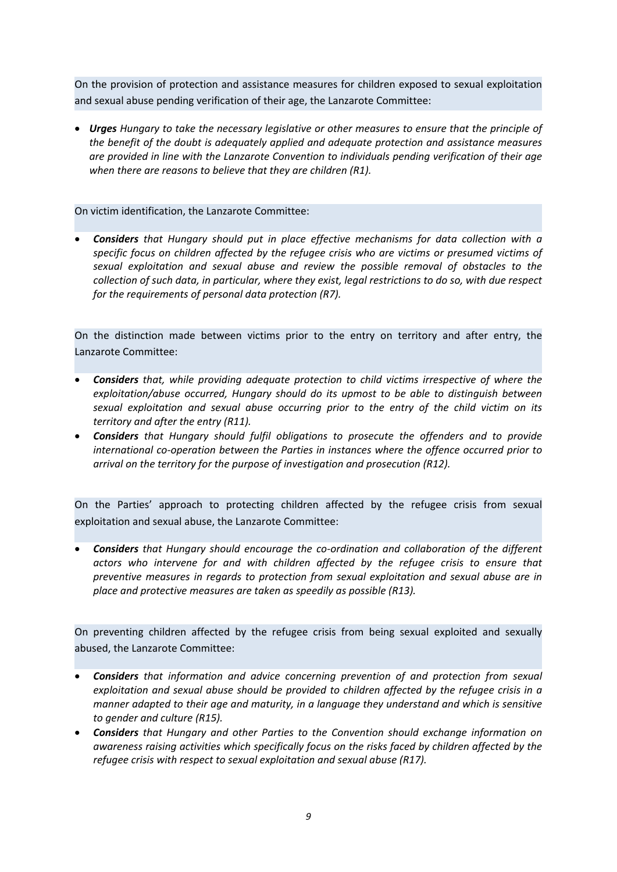On the provision of protection and assistance measures for children exposed to sexual exploitation and sexual abuse pending verification of their age, the Lanzarote Committee:

 *Urges Hungary to take the necessary legislative or other measures to ensure that the principle of the benefit of the doubt is adequately applied and adequate protection and assistance measures are provided in line with the Lanzarote Convention to individuals pending verification of their age when there are reasons to believe that they are children (R1).*

# On victim identification, the Lanzarote Committee:

 *Considers that Hungary should put in place effective mechanisms for data collection with <sup>a</sup> specific focus on children affected by the refugee crisis who are victims or presumed victims of sexual exploitation and sexual abuse and review the possible removal of obstacles to the collection of such data, in particular, where they exist, legal restrictions to do so, with due respect for the requirements of personal data protection (R7).*

On the distinction made between victims prior to the entry on territory and after entry, the Lanzarote Committee:

- c *Considers that, while providing adequate protection to child victims irrespective of where the exploitation/abuse occurred, Hungary should do its upmost to be able to distinguish between sexual exploitation and sexual abuse occurring prior to the entry of the child victim on its territory and after the entry (R11).*
- c *Considers that Hungary should fulfil obligations to prosecute the offenders and to provide international co-operation between the Parties in instances where the offence occurred prior to arrival on the territory for the purpose of investigation and prosecution (R12).*

On the Parties' approach to protecting children affected by the refugee crisis from sexual exploitation and sexual abuse, the Lanzarote Committee:

 *Considers that Hungary should encourage the co-ordination and collaboration of the different actors who intervene for and with children affected by the refugee crisis to ensure that preventive measures in regards to protection from sexual exploitation and sexual abuse are in place and protective measures are taken as speedily as possible (R13).*

On preventing children affected by the refugee crisis from being sexual exploited and sexually abused, the Lanzarote Committee:

- e *Considers that information and advice concerning prevention of and protection from sexual exploitation and sexual abuse should be provided to children affected by the refugee crisis in <sup>a</sup> manner adapted to their age and maturity, in <sup>a</sup> language they understand and which is sensitive to gender and culture (R15).*
- *Considers that Hungary and other Parties to the Convention should exchange information on awareness raising activities which specifically focus on the risks faced by children affected by the refugee crisis with respect to sexual exploitation and sexual abuse (R17).*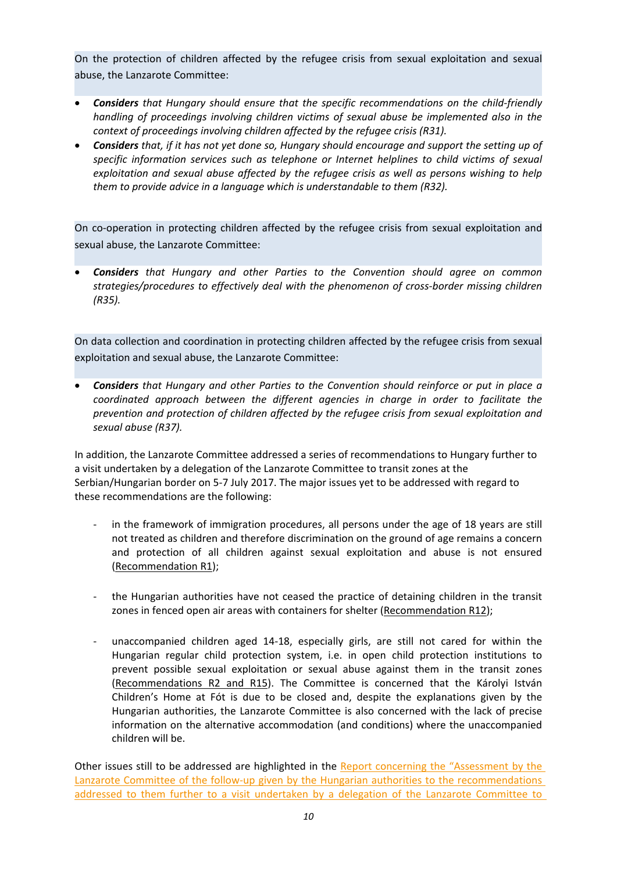On the protection of children affected by the refugee crisis from sexual exploitation and sexual abuse, the Lanzarote Committee:

- *Considers that Hungary should ensure that the specific recommendations on the child-friendly handling of proceedings involving children victims of sexual abuse be implemented also in the context of proceedings involving children affected by the refugee crisis (R31).*
- *Considers that, if it has not yet done so, Hungary should encourage and support the setting up of specific information services such as telephone or Internet helplines to child victims of sexual exploitation and sexual abuse affected by the refugee crisis as well as persons wishing to help them to provide advice in <sup>a</sup> language which is understandable to them (R32).*

On co-operation in protecting children affected by the refugee crisis from sexual exploitation and sexual abuse, the Lanzarote Committee:

 *Considers that Hungary and other Parties to the Convention should agree on common strategies/procedures to effectively deal with the phenomenon of cross-border missing children (R35).*

On data collection and coordination in protecting children affected by the refugee crisis from sexual exploitation and sexual abuse, the Lanzarote Committee:

 *Considers that Hungary and other Parties to the Convention should reinforce or put in place <sup>a</sup> coordinated approach between the different agencies in charge in order to facilitate the prevention and protection of children affected by the refugee crisis from sexual exploitation and sexual abuse (R37).*

In addition, the Lanzarote Committee addressed <sup>a</sup> series of recommendations to Hungary further to <sup>a</sup> visit undertaken by <sup>a</sup> delegation of the Lanzarote Committee to transit zones at the Serbian/Hungarian border on 5-7 July 2017. The major issues yet to be addressed with regard to these recommendations are the following:

- in the framework of immigration procedures, all persons under the age of 18 years are still not treated as children and therefore discrimination on the ground of age remains <sup>a</sup> concern and protection of all children against sexual exploitation and abuse is not ensured (Recommendation R1);
- the Hungarian authorities have not ceased the practice of detaining children in the transit zones in fenced open air areas with containers for shelter (Recommendation R12);
- unaccompanied children aged 14-18, especially girls, are still not cared for within the Hungarian regular child protection system, i.e. in open child protection institutions to prevent possible sexual exploitation or sexual abuse against them in the transit zones (Recommendations R2 and R15). The Committee is concerned that the Károlyi István Children'<sup>s</sup> Home at Fót is due to be closed and, despite the explanations given by the Hungarian authorities, the Lanzarote Committee is also concerned with the lack of precise information on the alternative accommodation (and conditions) where the unaccompanied children will be.

Other issues still to be addressed are highlighted in the Report [concerning](https://rm.coe.int/assessment-by-the-lanzarote-committee-of-the-follow-up-given-by-the-hu/168094d2d2) the "Assessment by the Lanzarote Committee of the follow-up given by the Hungarian authorities to the [recommendations](https://rm.coe.int/assessment-by-the-lanzarote-committee-of-the-follow-up-given-by-the-hu/168094d2d2) addressed to them further to a visit undertaken by a [delegation](https://rm.coe.int/assessment-by-the-lanzarote-committee-of-the-follow-up-given-by-the-hu/168094d2d2) of the Lanzarote Committee to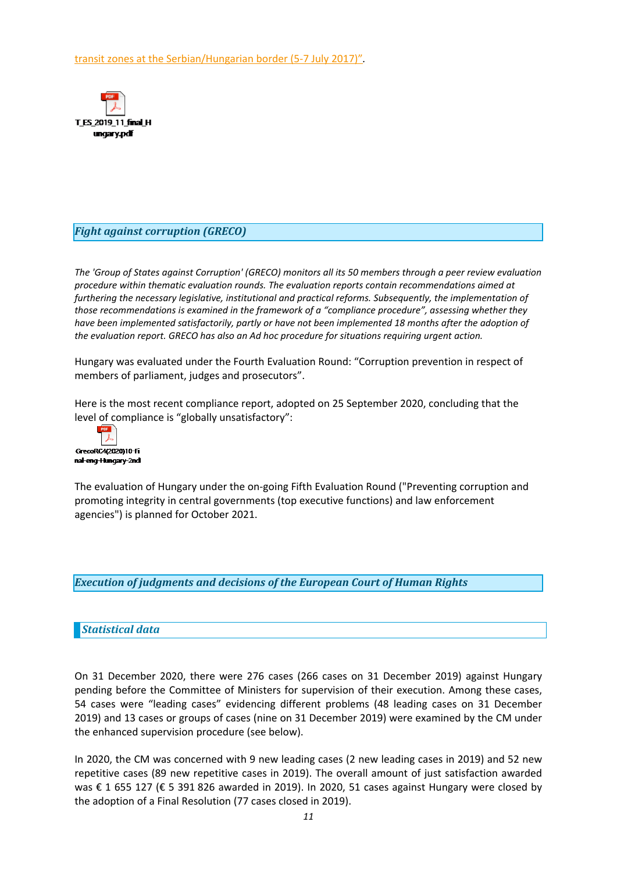<span id="page-10-0"></span>transit zones at the [Serbian/Hungarian](https://rm.coe.int/assessment-by-the-lanzarote-committee-of-the-follow-up-given-by-the-hu/168094d2d2) border (5-7 July 2017)"*.*



# *Fight against corruption (GRECO)*

The 'Group of States against Corruption' (GRECO) monitors all its 50 members through a peer review evaluation *procedure within thematic evaluation rounds. The evaluation reports contain recommendations aimed at furthering the necessary legislative, institutional and practical reforms. Subsequently, the implementation of those recommendations is examined in the framework of <sup>a</sup> "compliance procedure", assessing whether they have been implemented satisfactorily, partly or have not been implemented 18 months after the adoption of the evaluation report. GRECO has also an Ad hoc procedure for situations requiring urgent action.*

Hungary was evaluated under the Fourth Evaluation Round: "Corruption prevention in respect of members of parliament, judges and prosecutors".

Here is the most recent compliance report, adopted on 25 September 2020, concluding that the level of compliance is "globally unsatisfactory":



The evaluation of Hungary under the on-going Fifth Evaluation Round ("Preventing corruption and promoting integrity in central governments (top executive functions) and law enforcement agencies") is planned for October 2021.

*Execution of judgments and decisions of the European Court of Human Rights*

# *Statistical data*

On 31 December 2020, there were 276 cases (266 cases on 31 December 2019) against Hungary pending before the Committee of Ministers for supervision of their execution. Among these cases, 54 cases were "leading cases" evidencing different problems (48 leading cases on 31 December 2019) and 13 cases or groups of cases (nine on 31 December 2019) were examined by the CM under the enhanced supervision procedure (see below).

In 2020, the CM was concerned with 9 new leading cases (2 new leading cases in 2019) and 52 new repetitive cases (89 new repetitive cases in 2019). The overall amount of just satisfaction awarded was € 1 655 127 (€ 5 391 826 awarded in 2019). In 2020, 51 cases against Hungary were closed by the adoption of <sup>a</sup> Final Resolution (77 cases closed in 2019).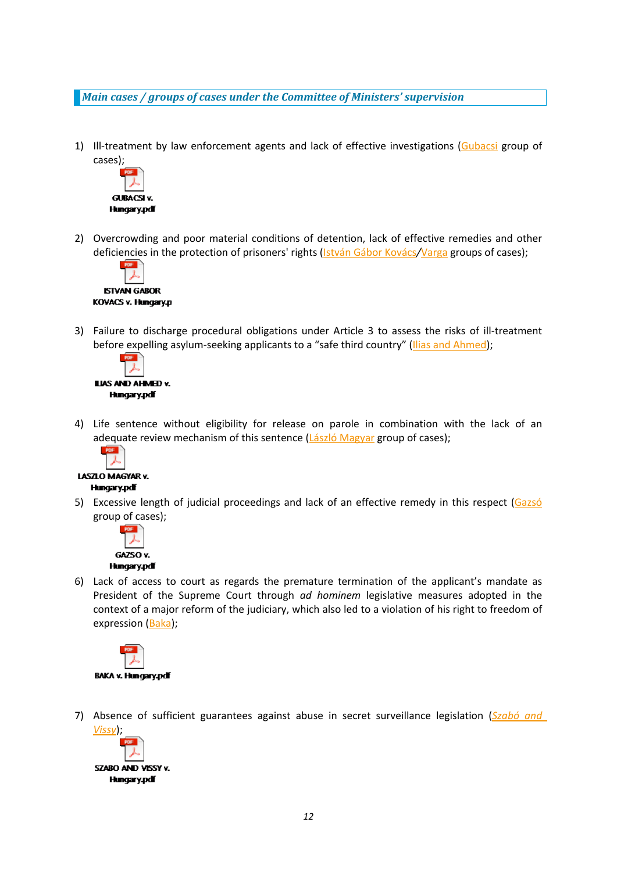<span id="page-11-0"></span>*Main cases / groups of cases under the Committee of Ministers' supervision*

1) Ill-treatment by law enforcement agents and lack of effective investigations ([Gubacsi](http://hudoc.exec.coe.int/eng?i=004-10515) group of cases);



2) Overcrowding and poor material conditions of detention, lack of effective remedies and other deficiencies in the protection of prisoners' rights ([István](http://hudoc.exec.coe.int/eng?i=004-10809) Gábor Kovács*/*[Varga](http://hudoc.exec.coe.int/eng?i=004-10849) groups of cases);



3) Failure to discharge procedural obligations under Article 3 to assess the risks of ill-treatment before expelling asylum-seeking applicants to a "safe third country" (Ilias and [Ahmed](http://hudoc.exec.coe.int/eng?i=004-54279));



4) Life sentence without eligibility for release on parole in combination with the lack of an adequate review mechanism of this sentence (László [Magyar](http://hudoc.exec.coe.int/eng?i=004-10897) group of cases);



- LASZLO MAGYAR v. **Hungary.pdf**
- 5) Excessive length of judicial proceedings and lack of an effective remedy in this respect ([Gazsó](http://hudoc.exec.coe.int/eng?i=004-10875) group of cases);



6) Lack of access to court as regards the premature termination of the applicant'<sup>s</sup> mandate as President of the Supreme Court through *ad hominem* legislative measures adopted in the context of <sup>a</sup> major reform of the judiciary, which also led to <sup>a</sup> violation of his right to freedom of expression ([Baka](http://hudoc.exec.coe.int/eng?i=004-10859));



7) Absence of sufficient guarantees against abuse in secret surveillance legislation (*[Szabó](http://hudoc.exec.coe.int/eng?i=004-10745) and [Vissy](http://hudoc.exec.coe.int/eng?i=004-10745)*);

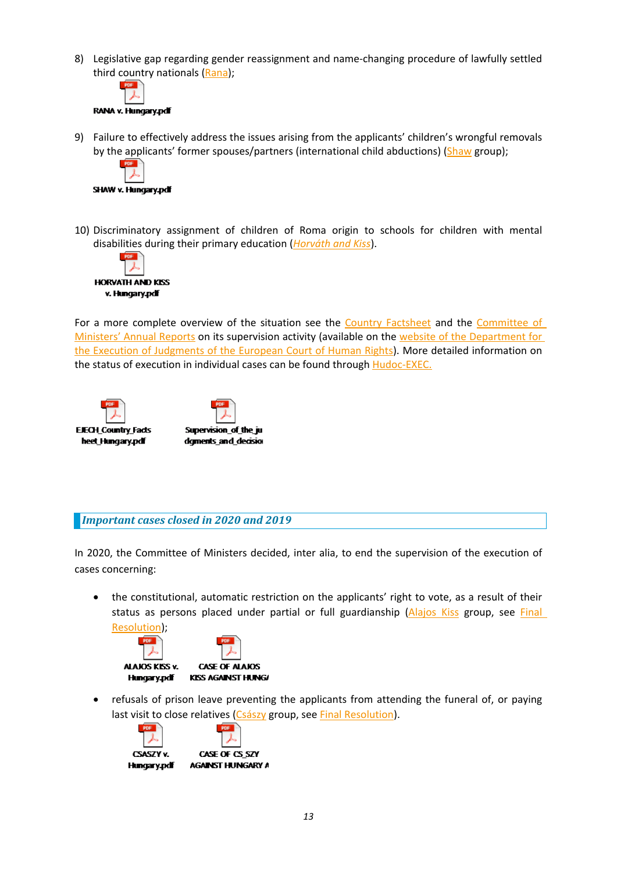<span id="page-12-0"></span>8) Legislative gap regarding gender reassignment and name-changing procedure of lawfully settled third country nationals ([Rana](http://hudoc.exec.coe.int/eng?i=004-55665));



9) Failure to effectively address the issues arising from the applicants' children'<sup>s</sup> wrongful removals by the applicants' former spouses/partners (international child abductions) ([Shaw](http://hudoc.exec.coe.int/eng?i=004-10523) group);



10) Discriminatory assignment of children of Roma origin to schools for children with mental disabilities during their primary education (*[Horváth](http://hudoc.exec.coe.int/eng?i=004-10905) and Kiss*).



For a more complete overview of the situation see the Country [Factsheet](https://rm.coe.int/168070974d) and the [Committee](https://www.coe.int/en/web/execution/annual-reports) of Ministers' Annual [Reports](https://www.coe.int/en/web/execution/annual-reports) on its supervision activity (available on the website of the [Department](https://www.coe.int/en/web/execution/home) for the Execution of [Judgments](https://www.coe.int/en/web/execution/home) of the European Court of Human Rights). More detailed information on the status of execution in individual cases can be found through **[Hudoc-EXEC](https://hudoc.exec.coe.int/ENG#{%22EXECDocumentTypeCollection%22:[%22CEC%22]}).** 



*Important cases closed in 2020 and 2019*

In 2020, the Committee of Ministers decided, inter alia, to end the supervision of the execution of cases concerning:

 $\bullet$  the constitutional, automatic restriction on the applicants' right to vote, as <sup>a</sup> result of their status as persons placed under partial or full guardianship ([Alajos](http://hudoc.exec.coe.int/eng?i=004-10509) Kiss group, see [Final](http://hudoc.exec.coe.int/eng?i=001-207228) [Resolution](http://hudoc.exec.coe.int/eng?i=001-207228));



c refusals of prison leave preventing the applicants from attending the funeral of, or paying last visit to close relatives ([Császy](http://hudoc.exec.coe.int/eng?i=004-10995) group, see Final [Resolution](http://hudoc.exec.coe.int/eng?i=001-207232)).

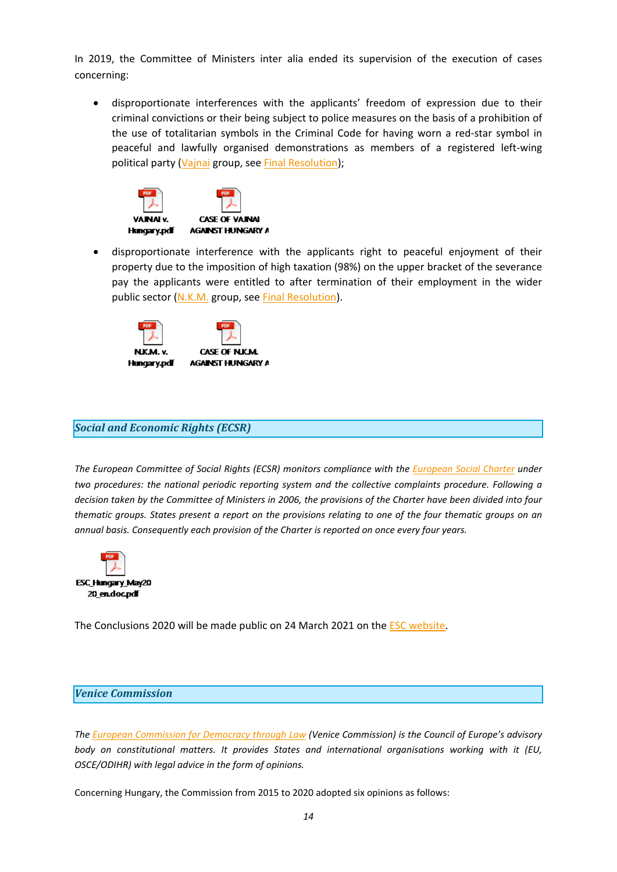<span id="page-13-0"></span>In 2019, the Committee of Ministers inter alia ended its supervision of the execution of cases concerning:

 $\bullet$  disproportionate interferences with the applicants' freedom of expression due to their criminal convictions or their being subject to police measures on the basis of <sup>a</sup> prohibition of the use of totalitarian symbols in the Criminal Code for having worn <sup>a</sup> red-star symbol in peaceful and lawfully organised demonstrations as members of <sup>a</sup> registered left-wing political party ([Vajnai](http://hudoc.exec.coe.int/eng?i=004-10507) group, see Final [Resolution](http://hudoc.exec.coe.int/eng?i=001-200059));



 $\bullet$  disproportionate interference with the applicants right to peaceful enjoyment of their property due to the imposition of high taxation (98%) on the upper bracket of the severance pay the applicants were entitled to after termination of their employment in the wider public sector ([N.K.M.](http://hudoc.exec.coe.int/eng?i=004-10953) group, see Final [Resolution](http://hudoc.exec.coe.int/eng?i=001-196026)).



# *Social and Economic Rights (ECSR)*

*The European Committee of Social Rights (ECSR) monitors compliance with the [European](http://www.coe.int/en/web/turin-european-social-charter/home) Social Charter under two procedures: the national periodic reporting system and the collective complaints procedure. Following <sup>a</sup>* decision taken by the Committee of Ministers in 2006, the provisions of the Charter have been divided into four thematic groups. States present a report on the provisions relating to one of the four thematic groups on an *annual basis. Consequently each provision of the Charter is reported on once every four years.*



The Conclusions 2020 will be made public on 24 March 2021 on the ESC [website](https://www.coe.int/en/web/european-social-charter/home).

#### *Venice Commission*

*The European Commission for [Democracy](http://www.venice.coe.int/WebForms/pages/?p=01_Presentation&lang=EN) through Law (Venice Commission) is the Council of Europe'<sup>s</sup> advisory body on constitutional matters. It provides States and international organisations working with it (EU, OSCE/ODIHR) with legal advice in the form of opinions.*

Concerning Hungary, the Commission from 2015 to 2020 adopted six opinions as follows: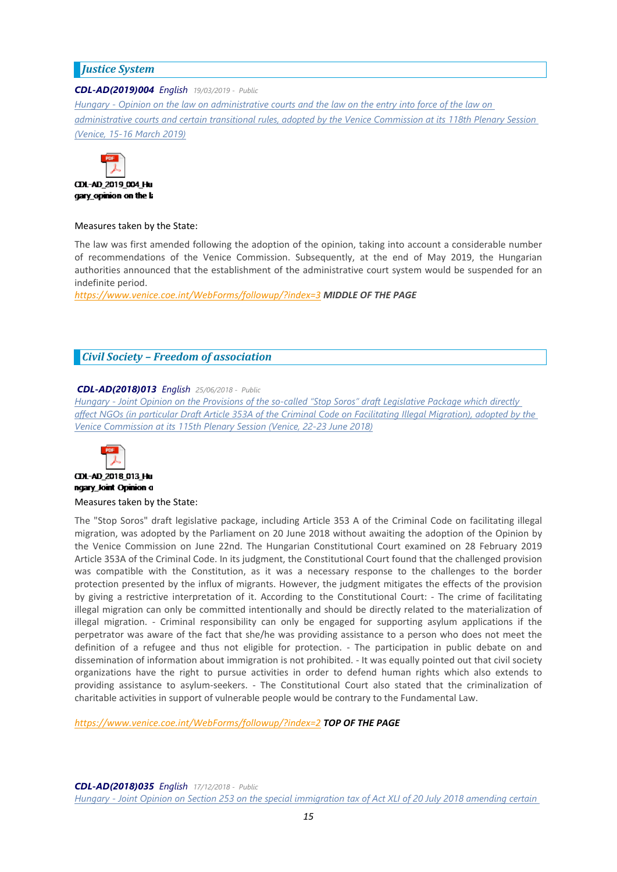# <span id="page-14-0"></span>*Justice System*

### *CDL-AD(2019)004 English 19/03/2019 - Public*

Hungary - Opinion on the law on [administrative](https://www.venice.coe.int/webforms/documents/?pdf=CDL-AD(2019)004-e) courts and the law on the entry into force of the law on [administrative](https://www.venice.coe.int/webforms/documents/?pdf=CDL-AD(2019)004-e) courts and certain transitional rules, adopted by the Venice Commission at its 118th Plenary Session *[\(Venice,](https://www.venice.coe.int/webforms/documents/?pdf=CDL-AD(2019)004-e) 15-16 March 2019)*



#### Measures taken by the State:

The law was first amended following the adoption of the opinion, taking into account <sup>a</sup> considerable number of recommendations of the Venice Commission. Subsequently, at the end of May 2019, the Hungarian authorities announced that the establishment of the administrative court system would be suspended for an indefinite period.

*<https://www.venice.coe.int/WebForms/followup/?index=3> MIDDLE OF THE PAGE*

# *Civil Society – Freedom of association*

## *CDL-AD(2018)013 English 25/06/2018 - Public*

Hungary - Joint Opinion on the Provisions of the so-called "Stop Soros" draft [Legislative](https://www.venice.coe.int/webforms/documents/?pdf=CDL-AD(2018)013-e) Package which directly affect NGOs (in particular Draft Article 353A of the Criminal Code on [Facilitating](https://www.venice.coe.int/webforms/documents/?pdf=CDL-AD(2018)013-e) Illegal Migration), adopted by the *Venice [Commission](https://www.venice.coe.int/webforms/documents/?pdf=CDL-AD(2018)013-e) at its 115th Plenary Session (Venice, 22-23 June 2018)*



# CDL-AD 2018 013 Hu ngary\_loint Opinion o

Measures taken by the State:

The "Stop Soros" draft legislative package, including Article 353 A of the Criminal Code on facilitating illegal migration, was adopted by the Parliament on 20 June 2018 without awaiting the adoption of the Opinion by the Venice Commission on June 22nd. The Hungarian Constitutional Court examined on 28 February 2019 Article 353A of the Criminal Code. In its judgment, the Constitutional Court found that the challenged provision was compatible with the Constitution, as it was <sup>a</sup> necessary response to the challenges to the border protection presented by the influx of migrants. However, the judgment mitigates the effects of the provision by giving <sup>a</sup> restrictive interpretation of it. According to the Constitutional Court: - The crime of facilitating illegal migration can only be committed intentionally and should be directly related to the materialization of illegal migration. - Criminal responsibility can only be engaged for supporting asylum applications if the perpetrator was aware of the fact that she/he was providing assistance to <sup>a</sup> person who does not meet the definition of <sup>a</sup> refugee and thus not eligible for protection. - The participation in public debate on and dissemination of information about immigration is not prohibited. - It was equally pointed out that civil society organizations have the right to pursue activities in order to defend human rights which also extends to providing assistance to asylum-seekers. - The Constitutional Court also stated that the criminalization of charitable activities in support of vulnerable people would be contrary to the Fundamental Law.

*<https://www.venice.coe.int/WebForms/followup/?index=2> TOP OF THE PAGE*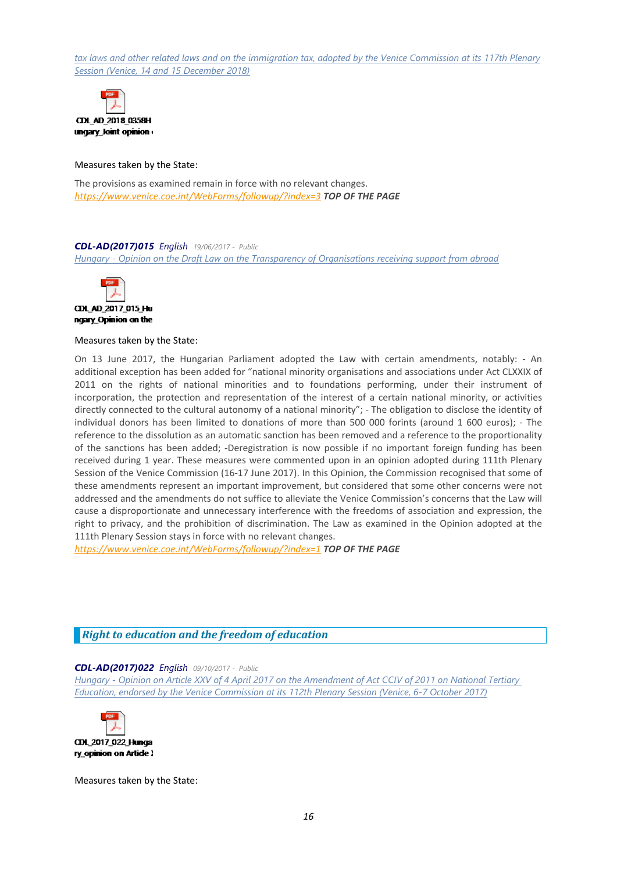<span id="page-15-0"></span>tax laws and other related laws and on the [immigration](https://www.venice.coe.int/webforms/documents/?pdf=CDL-AD(2018)035-e) tax, adopted by the Venice Commission at its 117th Plenary *Session (Venice, 14 and 15 [December](https://www.venice.coe.int/webforms/documents/?pdf=CDL-AD(2018)035-e) 2018)*



Measures taken by the State:

The provisions as examined remain in force with no relevant changes. *<https://www.venice.coe.int/WebForms/followup/?index=3> TOP OF THE PAGE*

#### *CDL-AD(2017)015 English 19/06/2017 - Public*

*Hungary - Opinion on the Draft Law on the Transparency of [Organisations](https://www.venice.coe.int/webforms/documents/?pdf=CDL-AD(2017)015-e) receiving suppor<sup>t</sup> from abroad*



ngary Opinion on the

#### Measures taken by the State:

On 13 June 2017, the Hungarian Parliament adopted the Law with certain amendments, notably: - An additional exception has been added for "national minority organisations and associations under Act CLXXIX of 2011 on the rights of national minorities and to foundations performing, under their instrument of incorporation, the protection and representation of the interest of <sup>a</sup> certain national minority, or activities directly connected to the cultural autonomy of <sup>a</sup> national minority"; - The obligation to disclose the identity of individual donors has been limited to donations of more than 500 000 forints (around 1 600 euros); - The reference to the dissolution as an automatic sanction has been removed and <sup>a</sup> reference to the proportionality of the sanctions has been added; -Deregistration is now possible if no important foreign funding has been received during 1 year. These measures were commented upon in an opinion adopted during 111th Plenary Session of the Venice Commission (16-17 June 2017). In this Opinion, the Commission recognised that some of these amendments represent an important improvement, but considered that some other concerns were not addressed and the amendments do not suffice to alleviate the Venice Commission'<sup>s</sup> concerns that the Law will cause <sup>a</sup> disproportionate and unnecessary interference with the freedoms of association and expression, the right to privacy, and the prohibition of discrimination. The Law as examined in the Opinion adopted at the 111th Plenary Session stays in force with no relevant changes.

*<https://www.venice.coe.int/WebForms/followup/?index=1> TOP OF THE PAGE*

# *Right to education and the freedom of education*

#### *CDL-AD(2017)022 English 09/10/2017 - Public*

Hungary - Opinion on Article XXV of 4 April 2017 on the [Amendment](https://www.venice.coe.int/webforms/documents/?pdf=CDL-AD(2017)022-e) of Act CCIV of 2011 on National Tertiary *Education, endorsed by the Venice [Commission](https://www.venice.coe.int/webforms/documents/?pdf=CDL-AD(2017)022-e) at its 112th Plenary Session (Venice, 6-7 October 2017)*



Measures taken by the State: